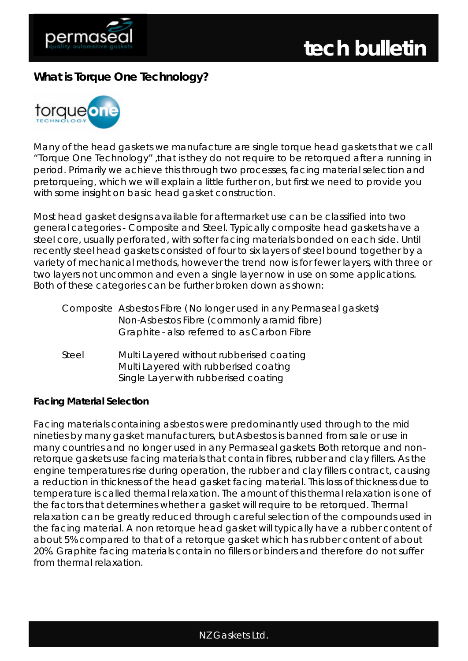

# **What is Torque One Technology?**



Many of the head gaskets we manufacture are single torque head gaskets that we call "Torque One Technology" ,that is they do not require to be retorqued after a running in period. Primarily we achieve this through two processes, facing material selection and pretorqueing, which we will explain a little further on, but first we need to provide you with some insight on basic head gasket construction.

Most head gasket designs available for aftermarket use can be classified into two general categories - Composite and Steel. Typically composite head gaskets have a steel core, usually perforated, with softer facing materials bonded on each side. Until recently steel head gaskets consisted of four to six layers of steel bound together by a variety of mechanical methods, however the trend now is for fewer layers, with three or two layers not uncommon and even a single layer now in use on some applications. Both of these categories can be further broken down as shown:

|       | Composite Asbestos Fibre (No longer used in any Permaseal gaskets)<br>Non-Asbestos Fibre (commonly aramid fibre)<br>Graphite - also referred to as Carbon Fibre |
|-------|-----------------------------------------------------------------------------------------------------------------------------------------------------------------|
| Steel | Multi Layered without rubberised coating<br>Multi Layered with rubberised coating<br>Single Layer with rubberised coating                                       |

## **Facing Material Selection**

Facing materials containing asbestos were predominantly used through to the mid nineties by many gasket manufacturers, but Asbestos is banned from sale or use in many countries and no longer used in any Permaseal gaskets. Both retorque and nonretorque gaskets use facing materials that contain fibres, rubber and clay fillers. As the engine temperatures rise during operation, the rubber and clay fillers contract, causing a reduction in thickness of the head gasket facing material. This loss of thickness due to temperature is called thermal relaxation. The amount of this thermal relaxation is one of the factors that determines whether a gasket will require to be retorqued. Thermal relaxation can be greatly reduced through careful selection of the compounds used in the facing material. A non retorque head gasket will typically have a rubber content of about 5% compared to that of a retorque gasket which has rubber content of about 20%. Graphite facing materials contain no fillers or binders and therefore do not suffer from thermal relaxation.